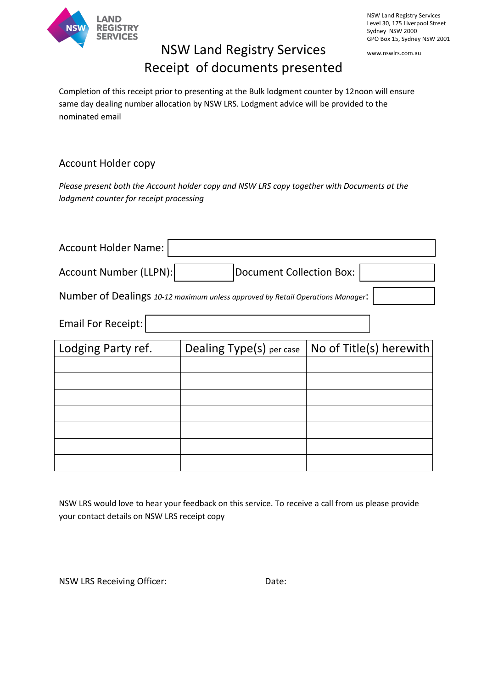

NSW Land Registry Services Level 30, 175 Liverpool Street Sydney NSW 2000 GPO Box 15, Sydney NSW 2001

www.nswlrs.com.au

## NSW Land Registry Services Receipt of documents presented

Completion of this receipt prior to presenting at the Bulk lodgment counter by 12noon will ensure same day dealing number allocation by NSW LRS. Lodgment advice will be provided to the nominated email

## Account Holder copy

*Please present both the Account holder copy and NSW LRS copy together with Documents at the lodgment counter for receipt processing*

| <b>Account Holder Name:</b>                                                    |                          |                         |  |  |  |  |
|--------------------------------------------------------------------------------|--------------------------|-------------------------|--|--|--|--|
| Account Number (LLPN):<br><b>Document Collection Box:</b>                      |                          |                         |  |  |  |  |
| Number of Dealings 10-12 maximum unless approved by Retail Operations Manager: |                          |                         |  |  |  |  |
| <b>Email For Receipt:</b>                                                      |                          |                         |  |  |  |  |
| Lodging Party ref.                                                             | Dealing Type(s) per case | No of Title(s) herewith |  |  |  |  |
|                                                                                |                          |                         |  |  |  |  |
|                                                                                |                          |                         |  |  |  |  |
|                                                                                |                          |                         |  |  |  |  |
|                                                                                |                          |                         |  |  |  |  |
|                                                                                |                          |                         |  |  |  |  |
|                                                                                |                          |                         |  |  |  |  |
|                                                                                |                          |                         |  |  |  |  |

NSW LRS would love to hear your feedback on this service. To receive a call from us please provide your contact details on NSW LRS receipt copy

NSW LRS Receiving Officer: Date: